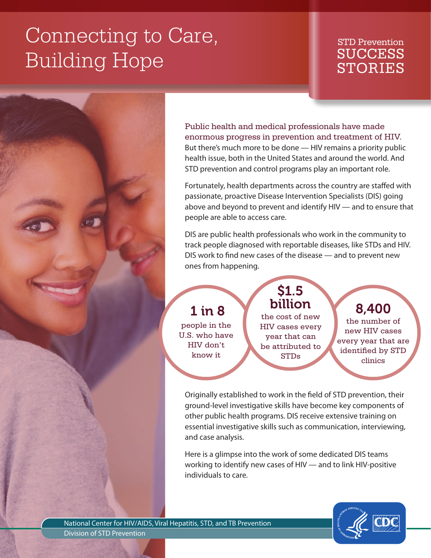# Connecting to Care, Building Hope

### STD Prevention **SUCCESS** STORIES

Public health and medical professionals have made enormous progress in prevention and treatment of HIV. But there's much more to be done — HIV remains a priority public health issue, both in the United States and around the world. And STD prevention and control programs play an important role.

Fortunately, health departments across the country are staffed with passionate, proactive Disease Intervention Specialists (DIS) going above and beyond to prevent and identify HIV — and to ensure that people are able to access care.

DIS are public health professionals who work in the community to track people diagnosed with reportable diseases, like STDs and HIV. DIS work to find new cases of the disease — and to prevent new ones from happening.

## 1 in 8

people in the U.S. who have HIV don't know it

billion the cost of new HIV cases every year that can be attributed to STDs

\$1.5

8,400

the number of new HIV cases every year that are identified by STD clinics

Originally established to work in the field of STD prevention, their ground-level investigative skills have become key components of other public health programs. DIS receive extensive training on essential investigative skills such as communication, interviewing, and case analysis.

Here is a glimpse into the work of some dedicated DIS teams working to identify new cases of HIV — and to link HIV-positive individuals to care.



National Center for HIV/AIDS, Viral Hepatitis, STD, and TB Prevention Division of STD Prevention